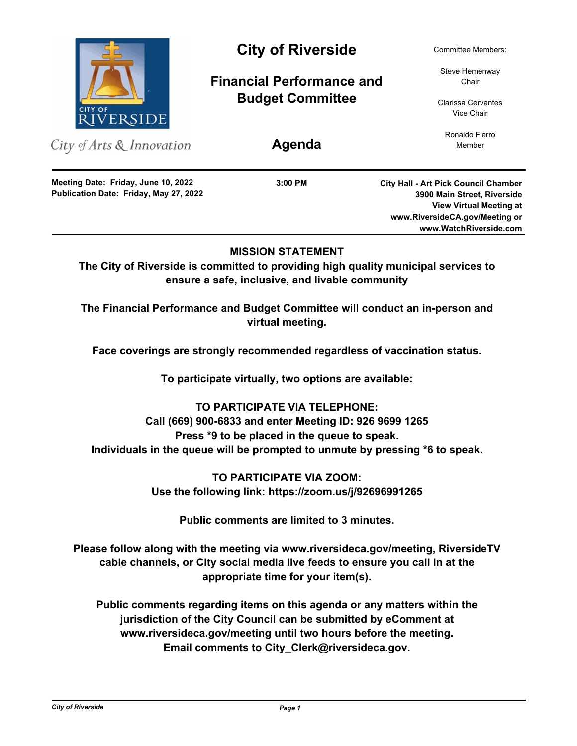

City of Arts & Innovation

**Publication Date: Friday, May 27, 2022 Meeting Date: Friday, June 10, 2022**

# City of Riverside Committee Members:

**Financial Performance and Budget Committee**

Steve Hemenway Chair

Clarissa Cervantes Vice Chair

Ronaldo Fierro **Agenda** Member

**3:00 PM**

**City Hall - Art Pick Council Chamber 3900 Main Street, Riverside View Virtual Meeting at www.RiversideCA.gov/Meeting or www.WatchRiverside.com**

# **MISSION STATEMENT**

**The City of Riverside is committed to providing high quality municipal services to ensure a safe, inclusive, and livable community**

**The Financial Performance and Budget Committee will conduct an in-person and virtual meeting.** 

**Face coverings are strongly recommended regardless of vaccination status.**

**To participate virtually, two options are available:**

**TO PARTICIPATE VIA TELEPHONE: Call (669) 900-6833 and enter Meeting ID: 926 9699 1265 Press \*9 to be placed in the queue to speak. Individuals in the queue will be prompted to unmute by pressing \*6 to speak.**

> **TO PARTICIPATE VIA ZOOM: Use the following link: https://zoom.us/j/92696991265**

> > **Public comments are limited to 3 minutes.**

**Please follow along with the meeting via www.riversideca.gov/meeting, RiversideTV cable channels, or City social media live feeds to ensure you call in at the appropriate time for your item(s).**

**Public comments regarding items on this agenda or any matters within the jurisdiction of the City Council can be submitted by eComment at www.riversideca.gov/meeting until two hours before the meeting. Email comments to City\_Clerk@riversideca.gov.**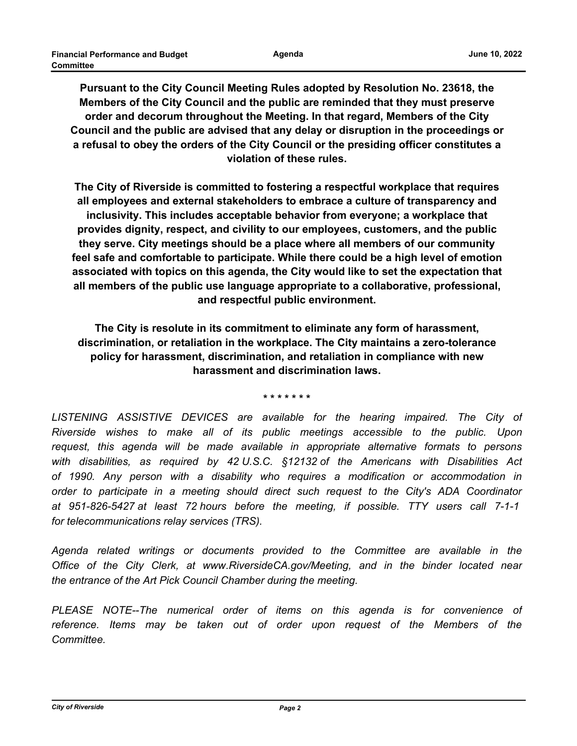**Pursuant to the City Council Meeting Rules adopted by Resolution No. 23618, the Members of the City Council and the public are reminded that they must preserve order and decorum throughout the Meeting. In that regard, Members of the City Council and the public are advised that any delay or disruption in the proceedings or a refusal to obey the orders of the City Council or the presiding officer constitutes a violation of these rules.**

**The City of Riverside is committed to fostering a respectful workplace that requires all employees and external stakeholders to embrace a culture of transparency and inclusivity. This includes acceptable behavior from everyone; a workplace that provides dignity, respect, and civility to our employees, customers, and the public they serve. City meetings should be a place where all members of our community feel safe and comfortable to participate. While there could be a high level of emotion associated with topics on this agenda, the City would like to set the expectation that all members of the public use language appropriate to a collaborative, professional, and respectful public environment.**

**The City is resolute in its commitment to eliminate any form of harassment, discrimination, or retaliation in the workplace. The City maintains a zero-tolerance policy for harassment, discrimination, and retaliation in compliance with new harassment and discrimination laws.**

**\* \* \* \* \* \* \***

LISTENING ASSISTIVE DEVICES are available for the hearing impaired. The City of *Riverside wishes to make all of its public meetings accessible to the public. Upon request, this agenda will be made available in appropriate alternative formats to persons with disabilities, as required by 42 U.S.C. §12132 of the Americans with Disabilities Act of 1990. Any person with a disability who requires a modification or accommodation in order to participate in a meeting should direct such request to the City's ADA Coordinator at 951-826-5427 at least 72 hours before the meeting, if possible. TTY users call 7-1-1 for telecommunications relay services (TRS).*

*Agenda related writings or documents provided to the Committee are available in the Office of the City Clerk, at www.RiversideCA.gov/Meeting, and in the binder located near the entrance of the Art Pick Council Chamber during the meeting.*

*PLEASE NOTE--The numerical order of items on this agenda is for convenience of reference. Items may be taken out of order upon request of the Members of the Committee.*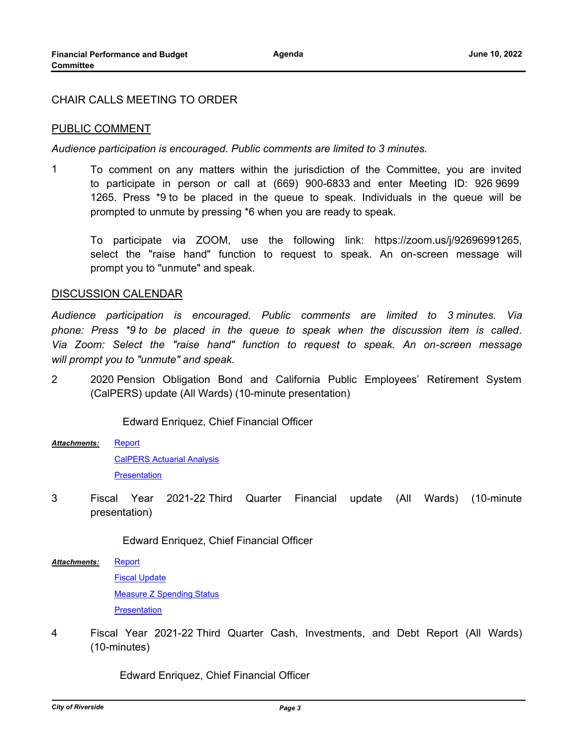## CHAIR CALLS MEETING TO ORDER

### PUBLIC COMMENT

*Audience participation is encouraged. Public comments are limited to 3 minutes.*

1 To comment on any matters within the jurisdiction of the Committee, you are invited to participate in person or call at (669) 900-6833 and enter Meeting ID: 926 9699 1265. Press \*9 to be placed in the queue to speak. Individuals in the queue will be prompted to unmute by pressing \*6 when you are ready to speak.

To participate via ZOOM, use the following link: https://zoom.us/j/92696991265, select the "raise hand" function to request to speak. An on-screen message will prompt you to "unmute" and speak.

#### DISCUSSION CALENDAR

*Audience participation is encouraged. Public comments are limited to 3 minutes. Via phone: Press \*9 to be placed in the queue to speak when the discussion item is called. Via Zoom: Select the "raise hand" function to request to speak. An on-screen message will prompt you to "unmute" and speak.*

2 2020 Pension Obligation Bond and California Public Employees' Retirement System (CalPERS) update (All Wards) (10-minute presentation)

Edward Enriquez, Chief Financial Officer

[Report](http://riversideca.legistar.com/gateway.aspx?M=F&ID=e65f9aca-c26c-49a4-9071-51d5eb735370.docx) [CalPERS Actuarial Analysis](http://riversideca.legistar.com/gateway.aspx?M=F&ID=f2a9af1d-aed9-46c2-8f3d-9c54f59e75b0.pdf) **[Presentation](http://riversideca.legistar.com/gateway.aspx?M=F&ID=9e6ae691-94e0-4e3e-8c13-e41c1999d807.pdf)** *Attachments:*

3 Fiscal Year 2021-22 Third Quarter Financial update (All Wards) (10-minute presentation)

Edward Enriquez, Chief Financial Officer

**[Report](http://riversideca.legistar.com/gateway.aspx?M=F&ID=f899468b-c47f-4bf6-8dc8-75408e1c6c69.docx)** *Attachments:*

> [Fiscal Update](http://riversideca.legistar.com/gateway.aspx?M=F&ID=3db6432a-32a9-44cd-9ac0-ca70d8a1545d.pdf) [Measure Z Spending Status](http://riversideca.legistar.com/gateway.aspx?M=F&ID=1894fecc-8872-463a-bf7c-4c11bcf14f42.pdf) **[Presentation](http://riversideca.legistar.com/gateway.aspx?M=F&ID=629e7344-795e-4975-b495-6f99b16f8629.pdf)**

4 Fiscal Year 2021-22 Third Quarter Cash, Investments, and Debt Report (All Wards) (10-minutes)

Edward Enriquez, Chief Financial Officer